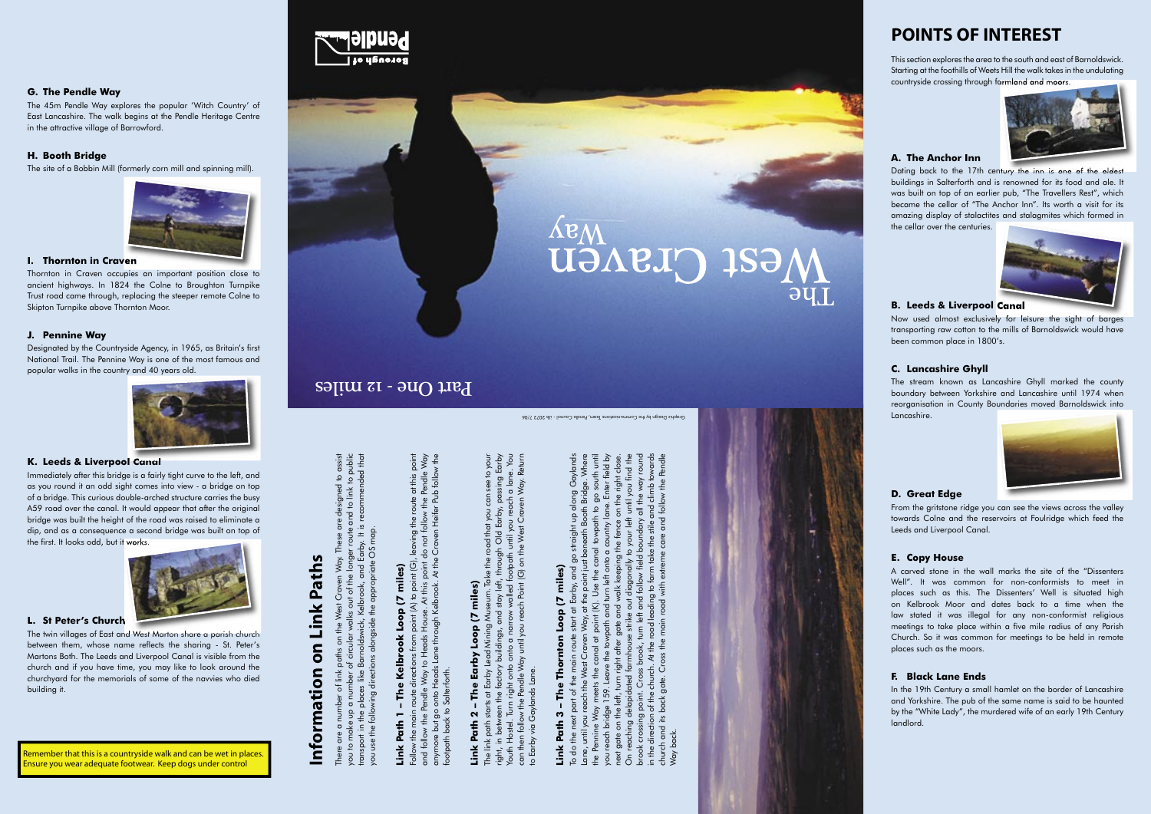

#### **G. The Pendle Way**

The 45m Pendle Way explores the popular 'Witch Country' of East Lancashire. The walk begins at the Pendle Heritage Centre in the attractive village of Barrowford.

### **H. Booth Bridge**

The site of a Bobbin Mill (formerly corn mill and spinning mill).



#### **I. Thornton in Craven**

Designated by the Countryside Agency, in 1965, as Britain's first National Trail. The Pennine Way is one of the most famous and popular walks in the country and 40 years old.



Immediately after this bridge is a fairly tight curve to the left, and as you round it an odd sight comes into view - a bridge on top of a bridge. This curious double-arched structure carries the busy A59 road over the canal. It would appear that after the original bridge was built the height of the road was raised to eliminate a dip, and as a consequence a second bridge was built on top of the first. It looks odd, but it works.



Thornton in Craven occupies an important position close to ancient highways. In 1824 the Colne to Broughton Turnpike Trust road came through, replacing the steeper remote Colne to Skipton Turnpike above Thornton Moor.

#### **J. Pennine Way**

#### **K. Leeds & Liverpool Canal**

The twin villages of East and West Marton share a parish church between them, whose name reflects the sharing - St. Peter's Martons Both. The Leeds and Liverpool Canal is visible from the church and if you have time, you may like to look around the churchyard for the memorials of some of the navvies who died building it.

This section explores the area to the south and east of Barnoldswick. Starting at the foothills of Weets Hill the walk takes in the undulating countryside crossing through farmland and moors.



### **L. St Peter's Church**

# **POINTS OF INTEREST**

### **A. The Anchor Inn**

Dating back to the 17th century the inn is one of the oldest buildings in Salterforth and is renowned for its food and ale. It was built on top of an earlier pub, "The Travellers Rest", which became the cellar of "The Anchor Inn". Its worth a visit for its amazing display of stalactites and stalagmites which formed in the cellar over the centuries.



There are a number of link paths on the West Craven Way. These are designed to assist you to make up a number of circular walks out of the longer route and to link to public transport in the places like Barnoldswick, Kelbrook, and Earby. It is recommended that  $\vec{f}$  $\overline{2}$ and para <u>. ഗ</u> you use the following directions alongside the appropriate OS map. iate OS Way. longe  $\frac{1}{1}$ Crav  $\Delta$ Iks out  $the$ the West directions alongs aths on t<br>circular paths Ⴆ er of link <sub>p</sub><br>number o<br>aces like E nt in the places<br>the following c her ᅙᅙ  $\frac{1}{2}$ <br> $\frac{1}{2}$ <br> $\frac{1}{2}$ man<br>P  $rac{a}{a}$ para nsport<br>use th Ĕ  $\overline{\phantom{a}}^{\circ}$ 

ō

to public<br>nded that

 $\circ$ 

### **B. Leeds & Liverpool Canal**

Now used almost exclusively for leisure the sight of barges transporting raw cotton to the mills of Barnoldswick would have been common place in 1800's.

### **C. Lancashire Ghyll**

The link path starts at Earby Lead Mining Museum. Take the road that you can see to your right, in between the factory buildings, and stay left, through Old Earby, passing Earby Youth Hostel. Turn right onto onto a narrow walled footpath until you reach a lane. You can then follow the Pendle Way until you reach Point (G) on the West Craven Way. Return ssing Earby<br>a lane. You<br>Way. Return **To you** a lang<br>Way, I see t that you can s<br>Did Earby, pass<br>til you reach a<br>West Craven W til you r<br>West Cr  $\overline{5}$ until ) road through footpath<br>+ (G) on the  $the$ ്യ  $\overline{\overline{6}}$ .<br>auro stay <u>ዲ</u> and ₹ Mining ldings,  $\sigma$ ja Way right onto<br>Pendle Wc to Earby via Gaylands Lane. Earby  $\frac{1}{9}$  $\frac{3}{2}$ via Gaylar follow path;  $\frac{8}{1}$ Earby Ě  $\equiv$ 

The stream known as Lancashire Ghyll marked the county boundary between Yorkshire and Lancashire until 1974 when reorganisation in County Boundaries moved Barnoldswick into Lancashire.



### **D. Great Edge**

# **Link Path 3 – The Thornton Loop (7 miles)** ო Path Link

To do the next part of the main route start at Earby, and go straight up along Gaylands Lane, until you reach the West Craven Way, at the point just beneath Booth Bridge. Where the Pennine Way meets the canal at point (K). Use the canal towpath to go south until you reach bridge 159. Leave the towpath and turn left onto a country lane. Enter field by next gate on the left, turn right after gate and walk keeping the fence on the right close. On reaching delapidated farmhouse strike out diagonally to your left until you find the brook crossing point. Cross brook, turn left and follow field boundary all the way round in the direction of the church. At the road leading to farm take the stile and climb towards church and its back gate. Cross the main road with extreme care and follow the Pendle χρ<  $\overline{\mathbf{Q}}$  $\Omega$ towpat straight the  $r$ Γg  $\overline{a}$ 5  $\frac{2}{15}$ hext  $\overline{5}$ 흐  $\frac{1}{2}$ Way back. the gate 专



From the gritstone ridge you can see the views across the valley towards Colne and the reservoirs at Foulridge which feed the Leeds and Liverpool Canal.

### **E. Copy House**

A carved stone in the wall marks the site of the "Dissenters Well". It was common for non-conformists to meet in places such as this. The Dissenters' Well is situated high on Kelbrook Moor and dates back to a time when the law stated it was illegal for any non-conformist religious meetings to take place within a five mile radius of any Parish Church. So it was common for meetings to be held in remote places such as the moors.

### **F. Black Lane Ends**

In the 19th Century a small hamlet on the border of Lancashire and Yorkshire. The pub of the same name is said to be haunted by the "White Lady", the murdered wife of an early 19th Century landlord.

Remember that this is a countryside walk and can be wet in places. Ensure you wear adequate footwear. Keep dogs under control



### $P$  part One - 12 miles

**Information on Link Paths**

Information on Link Paths

## miles) **Link Path 1 – The Kelbrook Loop (7 miles)**  $\overline{C}$ Loop Kelbrook  $-$ The  $\blacksquare$ Path Link

Follow the main route directions from point (A) to point (G), leaving the route at this point and follow the Pendle Way to Heads House. At this point do not follow the Pendle Way anymore but go onto Heads Lane through Kelbrook. At the Craven Heifer Pub follow the point<br>Way oute at this po<br>the Pendle W<br>er Pub follow t ing the  $\overline{5}$  $\overline{e}$ -8 G  $+$ <sup>0</sup>  $\overline{O}$ point<br>At the point  $\frac{1}{\frac{1}{2}}$  $\Omega$  $\ddot{\mathbf{x}}$ use. At<br>n Kelbr  $\mathcal{R}$ point ( from 우 action  $\mathsf{Q}$ footpath back to Salterforth. Way 1 ㅎ n route c<br>Pendle onto H<br>Salter  $\frac{1}{2}$ <br> $\frac{1}{2}$ <br> $\frac{1}{2}$ <br> $\frac{1}{2}$ the main  $He$ ootpath back  $\overline{5}$ Follow the n<br>and follow t

### miles) **Link Path 2 – The Earby Loop (7 miles)**  $\overline{C}$  $\frac{1}{2}$ Earby  $-$ The  $\overline{N}$ **Path** Link

Graphic Design by the Communications Team, Pendle Council - iJb 2072 7/06